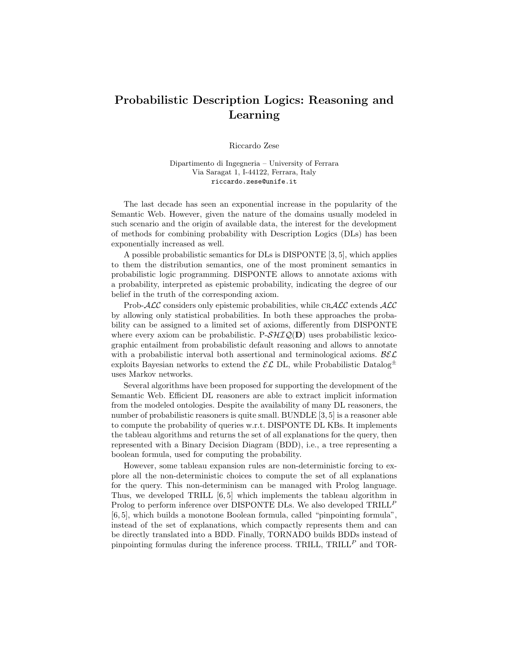## Probabilistic Description Logics: Reasoning and Learning

Riccardo Zese

Dipartimento di Ingegneria – University of Ferrara Via Saragat 1, I-44122, Ferrara, Italy riccardo.zese@unife.it

The last decade has seen an exponential increase in the popularity of the Semantic Web. However, given the nature of the domains usually modeled in such scenario and the origin of available data, the interest for the development of methods for combining probability with Description Logics (DLs) has been exponentially increased as well.

A possible probabilistic semantics for DLs is DISPONTE [3, 5], which applies to them the distribution semantics, one of the most prominent semantics in probabilistic logic programming. DISPONTE allows to annotate axioms with a probability, interpreted as epistemic probability, indicating the degree of our belief in the truth of the corresponding axiom.

Prob- $\mathcal{ALC}$  considers only epistemic probabilities, while CR $\mathcal{ALC}$  extends  $\mathcal{ALC}$ by allowing only statistical probabilities. In both these approaches the probability can be assigned to a limited set of axioms, differently from DISPONTE where every axiom can be probabilistic.  $P-\mathcal{SHTQ}(D)$  uses probabilistic lexicographic entailment from probabilistic default reasoning and allows to annotate with a probabilistic interval both assertional and terminological axioms.  $\mathcal{B}\mathcal{E}\mathcal{L}$ exploits Bayesian networks to extend the  $\mathcal{EL}$  DL, while Probabilistic Datalog<sup> $\pm$ </sup> uses Markov networks.

Several algorithms have been proposed for supporting the development of the Semantic Web. Efficient DL reasoners are able to extract implicit information from the modeled ontologies. Despite the availability of many DL reasoners, the number of probabilistic reasoners is quite small. BUNDLE [3, 5] is a reasoner able to compute the probability of queries w.r.t. DISPONTE DL KBs. It implements the tableau algorithms and returns the set of all explanations for the query, then represented with a Binary Decision Diagram (BDD), i.e., a tree representing a boolean formula, used for computing the probability.

However, some tableau expansion rules are non-deterministic forcing to explore all the non-deterministic choices to compute the set of all explanations for the query. This non-determinism can be managed with Prolog language. Thus, we developed TRILL [6, 5] which implements the tableau algorithm in Prolog to perform inference over DISPONTE DLs. We also developed  $\text{TRILL}^P$ [6, 5], which builds a monotone Boolean formula, called "pinpointing formula", instead of the set of explanations, which compactly represents them and can be directly translated into a BDD. Finally, TORNADO builds BDDs instead of pinpointing formulas during the inference process. TRILL,  $TRILL<sup>P</sup>$  and TOR-